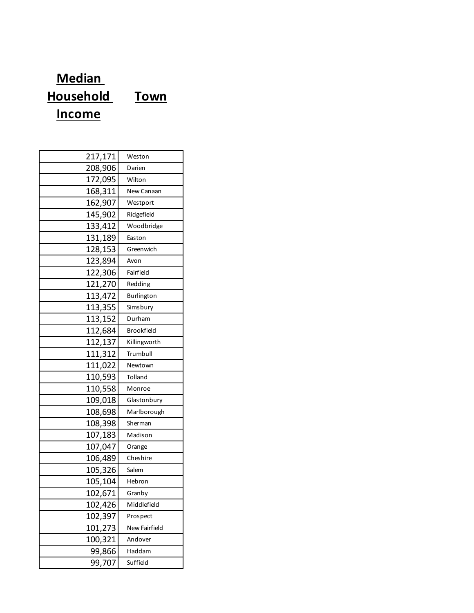## **Median Household Income Town**

| 217,171 | Weston               |
|---------|----------------------|
| 208,906 | Darien               |
| 172,095 | Wilton               |
| 168,311 | New Canaan           |
| 162,907 | Westport             |
| 145,902 | Ridgefield           |
| 133,412 | Woodbridge           |
| 131,189 | Easton               |
| 128,153 | Greenwich            |
| 123,894 | Avon                 |
| 122,306 | Fairfield            |
| 121,270 | Redding              |
| 113,472 | Burlington           |
| 113,355 | Simsbury             |
| 113,152 | Durham               |
| 112,684 | <b>Brookfield</b>    |
| 112,137 | Killingworth         |
| 111,312 | Trumbull             |
| 111,022 | Newtown              |
| 110,593 | Tolland              |
| 110,558 | Monroe               |
| 109,018 | Glastonbury          |
| 108,698 | Marlborough          |
| 108,398 | Sherman              |
| 107,183 | Madison              |
| 107,047 | Orange               |
| 106,489 | Cheshire             |
| 105,326 | Salem                |
| 105,104 | Hebron               |
| 102,671 | Granby               |
| 102,426 | Middlefield          |
| 102,397 | Prospect             |
| 101,273 | <b>New Fairfield</b> |
| 100,321 | Andover              |
| 99,866  | Haddam               |
| 99,707  | Suffield             |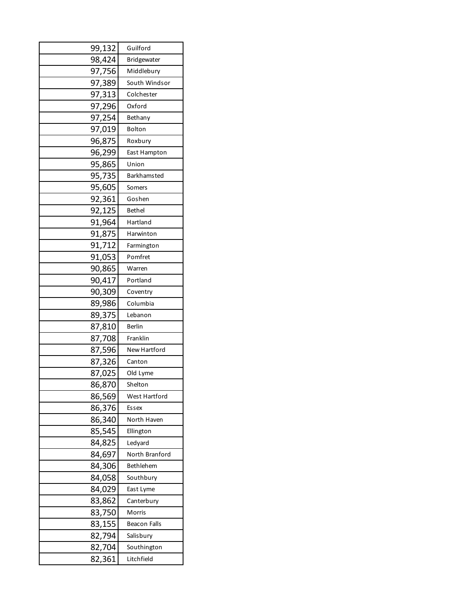| 99,132 | Guilford            |
|--------|---------------------|
| 98,424 | Bridgewater         |
| 97,756 | Middlebury          |
| 97,389 | South Windsor       |
| 97,313 | Colchester          |
| 97,296 | Oxford              |
| 97,254 | Bethany             |
| 97,019 | Bolton              |
| 96,875 | Roxbury             |
| 96,299 | East Hampton        |
| 95,865 | Union               |
| 95,735 | Barkhamsted         |
| 95,605 | Somers              |
| 92,361 | Goshen              |
| 92,125 | <b>Bethel</b>       |
| 91,964 | Hartland            |
| 91,875 | Harwinton           |
| 91,712 | Farmington          |
| 91,053 | Pomfret             |
| 90,865 | Warren              |
| 90,417 | Portland            |
| 90,309 | Coventry            |
| 89,986 | Columbia            |
| 89,375 | Lebanon             |
| 87,810 | Berlin              |
| 87,708 | Franklin            |
| 87,596 | New Hartford        |
| 87,326 | Canton              |
| 87,025 | Old Lyme            |
| 86,870 | Shelton             |
| 86,569 | West Hartford       |
| 86,376 | Essex               |
| 86,340 | North Haven         |
| 85,545 | Ellington           |
| 84,825 | Ledyard             |
| 84,697 | North Branford      |
| 84,306 | Bethlehem           |
| 84,058 | Southbury           |
| 84,029 | East Lyme           |
| 83,862 | Canterbury          |
| 83,750 | Morris              |
| 83,155 | <b>Beacon Falls</b> |
| 82,794 | Salisbury           |
| 82,704 | Southington         |
| 82,361 | Litchfield          |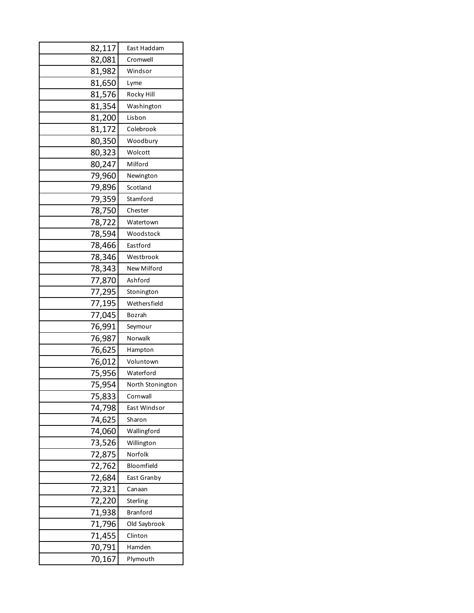| 82,117 | East Haddam      |
|--------|------------------|
| 82,081 | Cromwell         |
| 81,982 | Windsor          |
| 81,650 | Lyme             |
| 81,576 | Rocky Hill       |
| 81,354 | Washington       |
| 81,200 | Lisbon           |
| 81,172 | Colebrook        |
| 80,350 | Woodbury         |
| 80,323 | Wolcott          |
| 80,247 | Milford          |
| 79,960 | Newington        |
| 79,896 | Scotland         |
| 79,359 | Stamford         |
| 78,750 | Chester          |
| 78,722 | Watertown        |
| 78,594 | Woodstock        |
| 78,466 | Eastford         |
| 78,346 | Westbrook        |
| 78,343 | New Milford      |
| 77,870 | Ashford          |
| 77,295 | Stonington       |
| 77,195 | Wethersfield     |
| 77,045 | Bozrah           |
| 76,991 | Seymour          |
| 76,987 | Norwalk          |
| 76,625 | Hampton          |
| 76,012 | Voluntown        |
| 75,956 | Waterford        |
| 75,954 | North Stonington |
| 75,833 | Cornwall         |
| 74,798 | East Windsor     |
| 74,625 | Sharon           |
| 74,060 | Wallingford      |
| 73,526 | Willington       |
| 72,875 | Norfolk          |
| 72,762 | Bloomfield       |
| 72,684 | East Granby      |
| 72,321 | Canaan           |
| 72,220 | Sterling         |
| 71,938 | <b>Branford</b>  |
| 71,796 | Old Saybrook     |
| 71,455 | Clinton          |
| 70,791 | Hamden           |
| 70,167 | Plymouth         |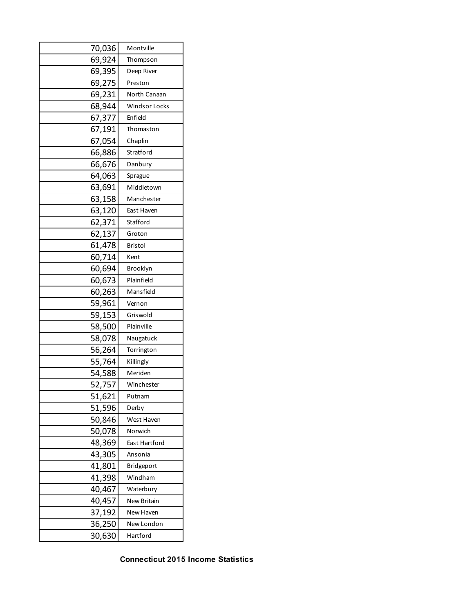| 70,036 | Montville            |
|--------|----------------------|
| 69,924 | Thompson             |
| 69,395 | Deep River           |
| 69,275 | Preston              |
| 69,231 | North Canaan         |
| 68,944 | <b>Windsor Locks</b> |
| 67,377 | Enfield              |
| 67,191 | Thomaston            |
| 67,054 | Chaplin              |
| 66,886 | Stratford            |
| 66,676 | Danbury              |
| 64,063 | Sprague              |
| 63,691 | Middletown           |
| 63,158 | Manchester           |
| 63,120 | East Haven           |
| 62,371 | Stafford             |
| 62,137 | Groton               |
| 61,478 | Bristol              |
| 60,714 | Kent                 |
| 60,694 | Brooklyn             |
| 60,673 | Plainfield           |
| 60,263 | Mansfield            |
| 59,961 | Vernon               |
| 59,153 | Gris wold            |
| 58,500 | Plainville           |
| 58,078 | Naugatuck            |
| 56,264 | Torrington           |
| 55,764 | Killingly            |
| 54,588 | Meriden              |
| 52,757 | Winchester           |
| 51,621 | Putnam               |
| 51,596 | Derby                |
| 50,846 | West Haven           |
| 50,078 | Norwich              |
| 48,369 | East Hartford        |
| 43,305 | Ansonia              |
| 41,801 | <b>Bridgeport</b>    |
| 41,398 | Windham              |
| 40,467 | Waterbury            |
| 40,457 | <b>New Britain</b>   |
| 37,192 | New Haven            |
| 36,250 | New London           |
| 30,630 | Hartford             |

**Connecticut 2015 Income Statistics**